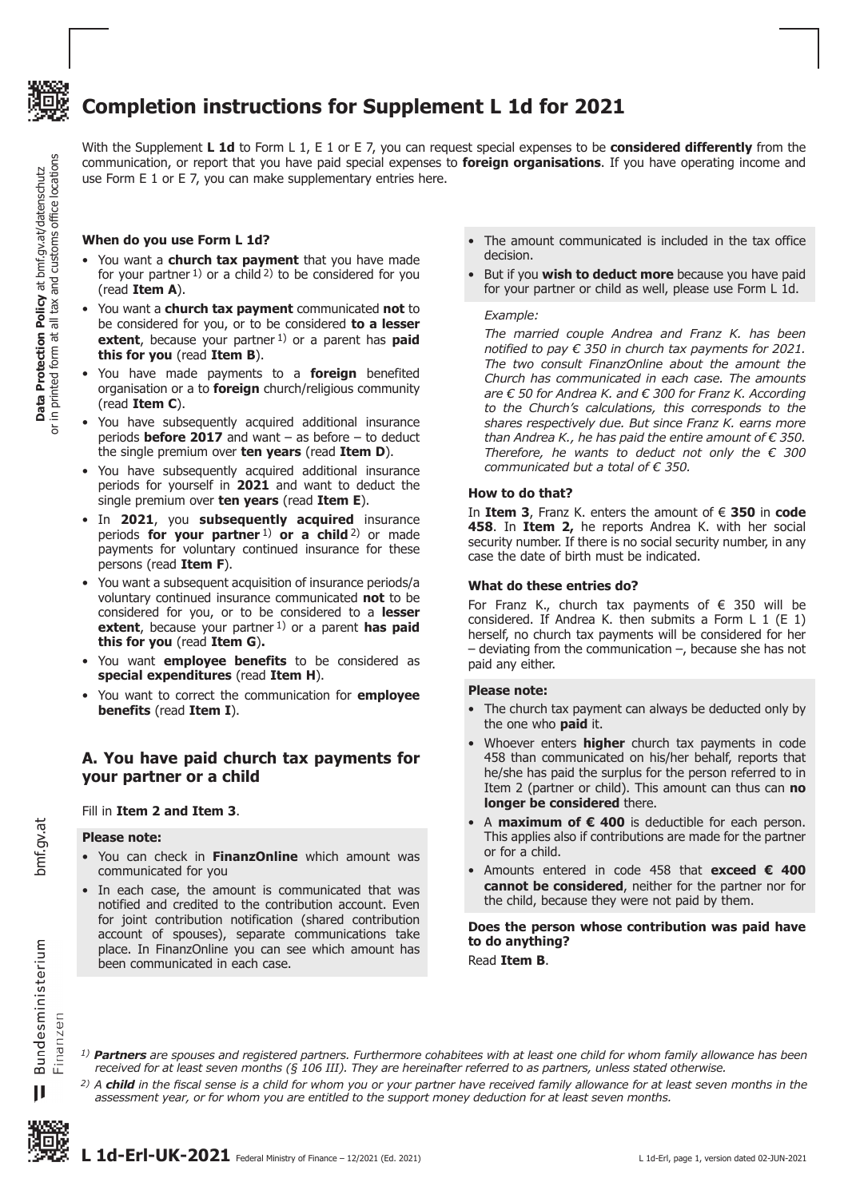

**Data Protection Policy** at bmf.gv.at/datenschutz or in printed form at all tax and customs office locations

**Data Protection Policy** at bmf.gv.at/datenschutz<br>in printed form at all tax and customs office locations

 $\overline{a}$ 

# **Completion instructions for Supplement L 1d for 2021**

With the Supplement **L 1d** to Form L 1, E 1 or E 7, you can request special expenses to be **considered differently** from the communication, or report that you have paid special expenses to **foreign organisations**. If you have operating income and use Form E 1 or E 7, you can make supplementary entries here.

# **When do you use Form L 1d?**

- You want a **church tax payment** that you have made for your partner  $1$ ) or a child  $2$ ) to be considered for you (read **Item A**).
- • You want a **church tax payment** communicated **not** to be considered for you, or to be considered **to a lesser extent**, because your partner<sup>1</sup>) or a parent has **paid this for you** (read **Item B**).
- • You have made payments to a **foreign** benefited organisation or a to **foreign** church/religious community (read **Item C**).
- • You have subsequently acquired additional insurance periods **before 2017** and want – as before – to deduct the single premium over **ten years** (read **Item D**).
- • You have subsequently acquired additional insurance periods for yourself in **2021** and want to deduct the single premium over **ten years** (read **Item E**).
- • In **2021**, you **subsequently acquired** insurance periods **for your partner** 1) **or a child** 2) or made payments for voluntary continued insurance for these persons (read **Item F**).
- • You want a subsequent acquisition of insurance periods/a voluntary continued insurance communicated **not** to be considered for you, or to be considered to a **lesser**  extent, because your partner <sup>1</sup>) or a parent has paid **this for you** (read **Item G**)**.**
- • You want **employee benefits** to be considered as **special expenditures** (read **Item H**).
- You want to correct the communication for **employee benefits** (read **Item I**).

# **A. You have paid church tax payments for your partner or a child**

# Fill in **Item 2 and Item 3**.

#### **Please note:**

- • You can check in **FinanzOnline** which amount was communicated for you
- In each case, the amount is communicated that was notified and credited to the contribution account. Even for joint contribution notification (shared contribution account of spouses), separate communications take place. In FinanzOnline you can see which amount has been communicated in each case.
- The amount communicated is included in the tax office decision.
- But if you **wish to deduct more** because you have paid for your partner or child as well, please use Form L 1d.

#### *Example:*

*The married couple Andrea and Franz K. has been notified to pay € 350 in church tax payments for 2021. The two consult FinanzOnline about the amount the Church has communicated in each case. The amounts are € 50 for Andrea K. and € 300 for Franz K. According to the Church's calculations, this corresponds to the shares respectively due. But since Franz K. earns more than Andrea K., he has paid the entire amount of € 350. Therefore, he wants to deduct not only the € 300 communicated but a total of € 350.*

# **How to do that?**

In **Item 3**, Franz K. enters the amount of € **350** in **code 458**. In **Item 2,** he reports Andrea K. with her social security number. If there is no social security number, in any case the date of birth must be indicated.

# **What do these entries do?**

For Franz K., church tax payments of € 350 will be considered. If Andrea K. then submits a Form L 1 (E 1) herself, no church tax payments will be considered for her  $-$  deviating from the communication  $-$ , because she has not paid any either.

# **Please note:**

*1) Partners are spouses and registered partners. Furthermore cohabitees with at least one child for whom family allowance has been* 

*2) A child in the fiscal sense is a child for whom you or your partner have received family allowance for at least seven months in the* 

*received for at least seven months (§ 106 III). They are hereinafter referred to as partners, unless stated otherwise.*

*assessment year, or for whom you are entitled to the support money deduction for at least seven months.* 

- The church tax payment can always be deducted only by the one who **paid** it.
- Whoever enters **higher** church tax payments in code 458 than communicated on his/her behalf, reports that he/she has paid the surplus for the person referred to in Item 2 (partner or child). This amount can thus can **no longer be considered** there.
- A **maximum of € 400** is deductible for each person. This applies also if contributions are made for the partner or for a child.
- • Amounts entered in code 458 that **exceed € 400 cannot be considered**, neither for the partner nor for the child, because they were not paid by them.

**Does the person whose contribution was paid have to do anything?** Read **Item B**.

Bundesministerium Finanzen  $\mathbf{I}$ 

bmf.gv.at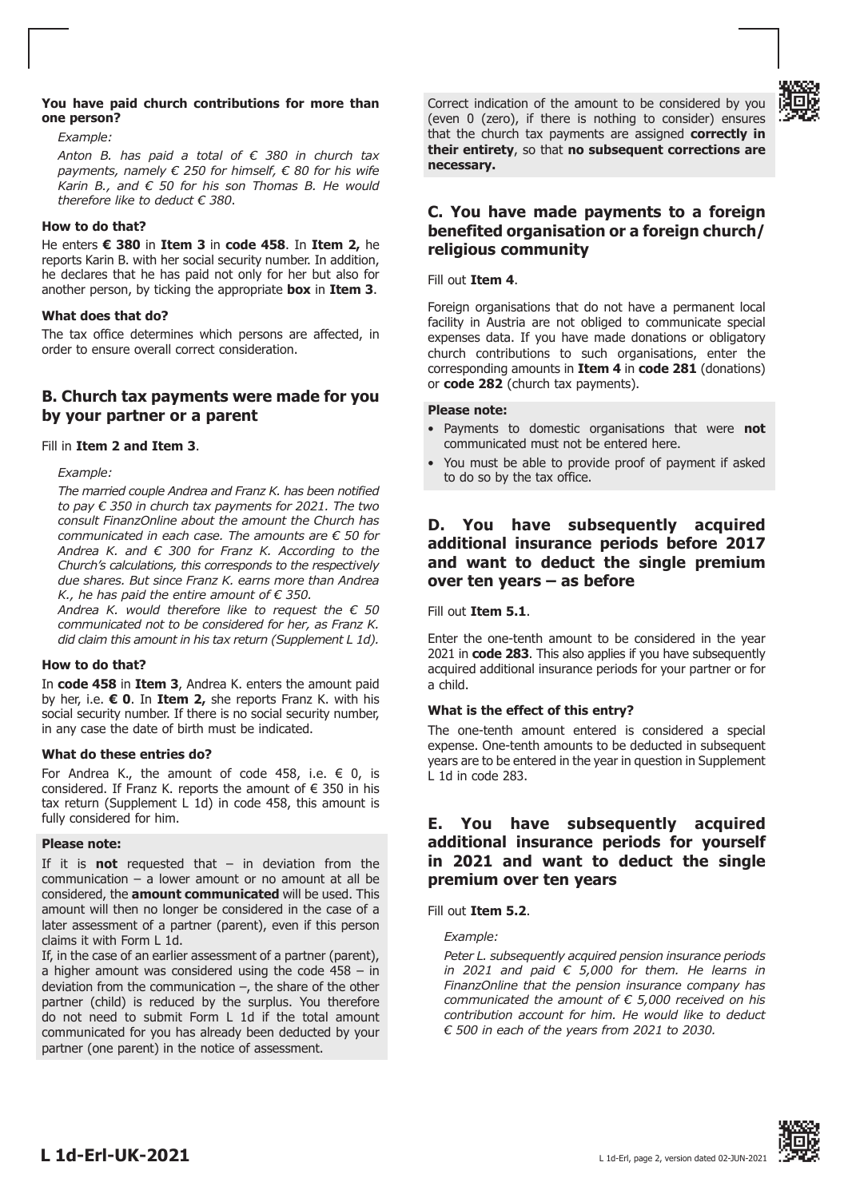# **You have paid church contributions for more than one person?**

# *Example:*

*Anton B. has paid a total of € 380 in church tax payments, namely € 250 for himself, € 80 for his wife Karin B., and € 50 for his son Thomas B. He would therefore like to deduct € 380*.

# **How to do that?**

He enters **€ 380** in **Item 3** in **code 458**. In **Item 2,** he reports Karin B. with her social security number. In addition, he declares that he has paid not only for her but also for another person, by ticking the appropriate **box** in **Item 3**.

# **What does that do?**

The tax office determines which persons are affected, in order to ensure overall correct consideration.

# **B. Church tax payments were made for you by your partner or a parent**

# Fill in **Item 2 and Item 3**.

*Example:*

*The married couple Andrea and Franz K. has been notified to pay € 350 in church tax payments for 2021. The two consult FinanzOnline about the amount the Church has communicated in each case. The amounts are € 50 for Andrea K. and € 300 for Franz K. According to the Church's calculations, this corresponds to the respectively due shares. But since Franz K. earns more than Andrea K., he has paid the entire amount of € 350.*

*Andrea K. would therefore like to request the € 50 communicated not to be considered for her, as Franz K. did claim this amount in his tax return (Supplement L 1d).*

# **How to do that?**

In **code 458** in **Item 3**, Andrea K. enters the amount paid by her, i.e. **€ 0**. In **Item 2,** she reports Franz K. with his social security number. If there is no social security number, in any case the date of birth must be indicated.

# **What do these entries do?**

For Andrea K., the amount of code 458, i.e.  $\in$  0, is considered. If Franz K. reports the amount of  $\epsilon$  350 in his tax return (Supplement L 1d) in code 458, this amount is fully considered for him.

# **Please note:**

If it is **not** requested that – in deviation from the communication – a lower amount or no amount at all be considered, the **amount communicated** will be used. This amount will then no longer be considered in the case of a later assessment of a partner (parent), even if this person claims it with Form L 1d.

If, in the case of an earlier assessment of a partner (parent), a higher amount was considered using the code 458 – in deviation from the communication  $-$ , the share of the other partner (child) is reduced by the surplus. You therefore do not need to submit Form L 1d if the total amount communicated for you has already been deducted by your partner (one parent) in the notice of assessment.

Correct indication of the amount to be considered by you (even 0 (zero), if there is nothing to consider) ensures that the church tax payments are assigned **correctly in their entirety**, so that **no subsequent corrections are necessary.**

# **C. You have made payments to a foreign benefited organisation or a foreign church/ religious community**

Fill out **Item 4**.

Foreign organisations that do not have a permanent local facility in Austria are not obliged to communicate special expenses data. If you have made donations or obligatory church contributions to such organisations, enter the corresponding amounts in **Item 4** in **code 281** (donations) or **code 282** (church tax payments).

# **Please note:**

- • Payments to domestic organisations that were **not** communicated must not be entered here.
- You must be able to provide proof of payment if asked to do so by the tax office.

# **D. You have subsequently acquired additional insurance periods before 2017 and want to deduct the single premium over ten years – as before**

Fill out **Item 5.1**.

Enter the one-tenth amount to be considered in the year 2021 in **code 283**. This also applies if you have subsequently acquired additional insurance periods for your partner or for a child.

# **What is the effect of this entry?**

The one-tenth amount entered is considered a special expense. One-tenth amounts to be deducted in subsequent years are to be entered in the year in question in Supplement  $\overline{L}$  1d in code 283.

# **E. You have subsequently acquired additional insurance periods for yourself in 2021 and want to deduct the single premium over ten years**

# Fill out **Item 5.2**.

*Example:*

*Peter L. subsequently acquired pension insurance periods in 2021 and paid € 5,000 for them. He learns in FinanzOnline that the pension insurance company has communicated the amount of € 5,000 received on his contribution account for him. He would like to deduct € 500 in each of the years from 2021 to 2030.*



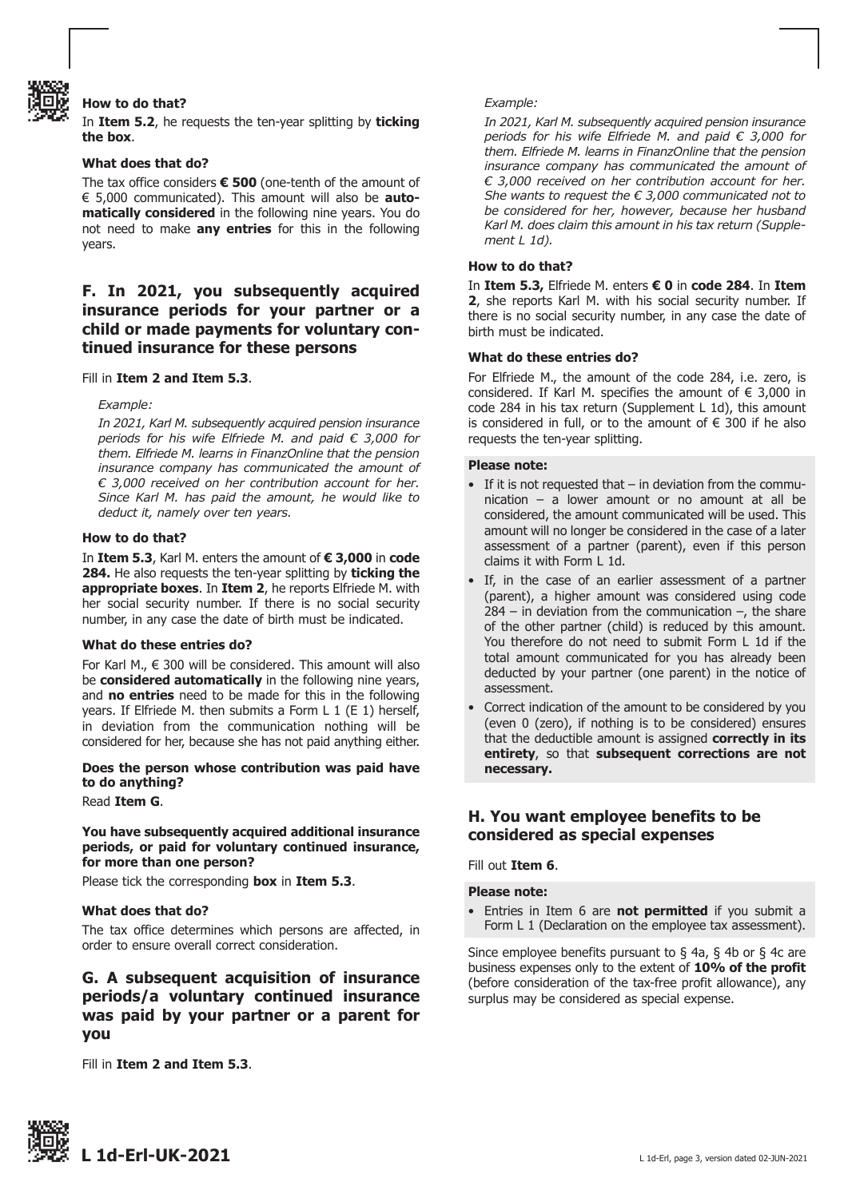

# **How to do that?**

In **Item 5.2**, he requests the ten-year splitting by **ticking the box**.

#### **What does that do?**

The tax office considers **€ 500** (one-tenth of the amount of € 5,000 communicated). This amount will also be **automatically considered** in the following nine years. You do not need to make **any entries** for this in the following years.

# **F. In 2021, you subsequently acquired insurance periods for your partner or a child or made payments for voluntary continued insurance for these persons**

Fill in **Item 2 and Item 5.3**.

#### *Example:*

*In 2021, Karl M. subsequently acquired pension insurance periods for his wife Elfriede M. and paid € 3,000 for them. Elfriede M. learns in FinanzOnline that the pension insurance company has communicated the amount of € 3,000 received on her contribution account for her. Since Karl M. has paid the amount, he would like to deduct it, namely over ten years.*

#### **How to do that?**

In **Item 5.3**, Karl M. enters the amount of **€ 3,000** in **code 284.** He also requests the ten-year splitting by **ticking the appropriate boxes**. In **Item 2**, he reports Elfriede M. with her social security number. If there is no social security number, in any case the date of birth must be indicated.

#### **What do these entries do?**

For Karl M.,  $\in$  300 will be considered. This amount will also be **considered automatically** in the following nine years, and **no entries** need to be made for this in the following years. If Elfriede M. then submits a Form L 1 (E 1) herself, in deviation from the communication nothing will be considered for her, because she has not paid anything either.

# **Does the person whose contribution was paid have to do anything?**

#### Read **Item G**.

# **You have subsequently acquired additional insurance periods, or paid for voluntary continued insurance, for more than one person?**

Please tick the corresponding **box** in **Item 5.3**.

# **What does that do?**

The tax office determines which persons are affected, in order to ensure overall correct consideration.

# **G. A subsequent acquisition of insurance periods/a voluntary continued insurance was paid by your partner or a parent for you**

Fill in **Item 2 and Item 5.3**.

#### *Example:*

*In 2021, Karl M. subsequently acquired pension insurance periods for his wife Elfriede M. and paid € 3,000 for them. Elfriede M. learns in FinanzOnline that the pension insurance company has communicated the amount of € 3,000 received on her contribution account for her. She wants to request the € 3,000 communicated not to be considered for her, however, because her husband Karl M. does claim this amount in his tax return (Supplement L 1d).*

#### **How to do that?**

In **Item 5.3,** Elfriede M. enters **€ 0** in **code 284**. In **Item 2**, she reports Karl M. with his social security number. If there is no social security number, in any case the date of birth must be indicated.

# **What do these entries do?**

For Elfriede M., the amount of the code 284, i.e. zero, is considered. If Karl M. specifies the amount of  $\epsilon$  3,000 in code 284 in his tax return (Supplement L 1d), this amount is considered in full, or to the amount of  $\epsilon$  300 if he also requests the ten-year splitting.

#### **Please note:**

- $\bullet$  If it is not requested that in deviation from the commu- nication – a lower amount or no amount at all be considered, the amount communicated will be used. This amount will no longer be considered in the case of a later assessment of a partner (parent), even if this person claims it with Form L 1d.
- • If, in the case of an earlier assessment of a partner (parent), a higher amount was considered using code  $284 -$  in deviation from the communication  $-$ , the share of the other partner (child) is reduced by this amount. You therefore do not need to submit Form L 1d if the total amount communicated for you has already been deducted by your partner (one parent) in the notice of assessment.
- Correct indication of the amount to be considered by you (even 0 (zero), if nothing is to be considered) ensures that the deductible amount is assigned **correctly in its entirety**, so that **subsequent corrections are not necessary.**

# **H. You want employee benefits to be considered as special expenses**

#### Fill out **Item 6**.

# **Please note:**

Entries in Item 6 are **not permitted** if you submit a Form L 1 (Declaration on the employee tax assessment).

Since employee benefits pursuant to  $\S$  4a,  $\S$  4b or  $\S$  4c are business expenses only to the extent of **10% of the profit** (before consideration of the tax-free profit allowance), any surplus may be considered as special expense.